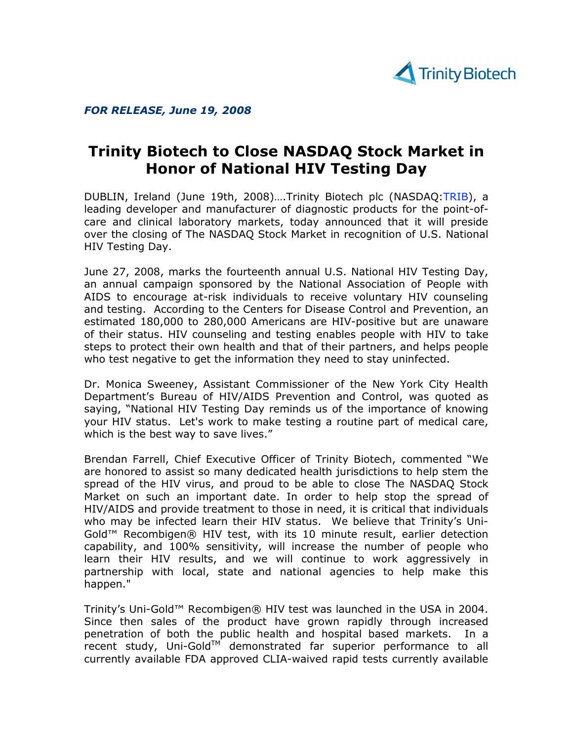

FOR RELEASE, June 19, 2008

## Trinity Biotech to Close NASDAQ Stock Market in Honor of National HIV Testing Day

DUBLIN, Ireland (June 19th, 2008)….Trinity Biotech plc (NASDAQ:TRIB), a leading developer and manufacturer of diagnostic products for the point-ofcare and clinical laboratory markets, today announced that it will preside over the closing of The NASDAQ Stock Market in recognition of U.S. National HIV Testing Day.

June 27, 2008, marks the fourteenth annual U.S. National HIV Testing Day, an annual campaign sponsored by the National Association of People with AIDS to encourage at-risk individuals to receive voluntary HIV counseling and testing. According to the Centers for Disease Control and Prevention, an estimated 180,000 to 280,000 Americans are HIV-positive but are unaware of their status. HIV counseling and testing enables people with HIV to take steps to protect their own health and that of their partners, and helps people who test negative to get the information they need to stay uninfected.

Dr. Monica Sweeney, Assistant Commissioner of the New York City Health Department's Bureau of HIV/AIDS Prevention and Control, was quoted as saying, "National HIV Testing Day reminds us of the importance of knowing your HIV status. Let's work to make testing a routine part of medical care, which is the best way to save lives."

Brendan Farrell, Chief Executive Officer of Trinity Biotech, commented "We are honored to assist so many dedicated health jurisdictions to help stem the spread of the HIV virus, and proud to be able to close The NASDAQ Stock Market on such an important date. In order to help stop the spread of HIV/AIDS and provide treatment to those in need, it is critical that individuals who may be infected learn their HIV status. We believe that Trinity's Uni-Gold™ Recombigen® HIV test, with its 10 minute result, earlier detection capability, and 100% sensitivity, will increase the number of people who learn their HIV results, and we will continue to work aggressively in partnership with local, state and national agencies to help make this happen."

Trinity's Uni-Gold™ Recombigen® HIV test was launched in the USA in 2004. Since then sales of the product have grown rapidly through increased penetration of both the public health and hospital based markets. In a  $r$ ecent study, Uni-Gold<sup>TM</sup> demonstrated far superior performance to all currently available FDA approved CLIA-waived rapid tests currently available